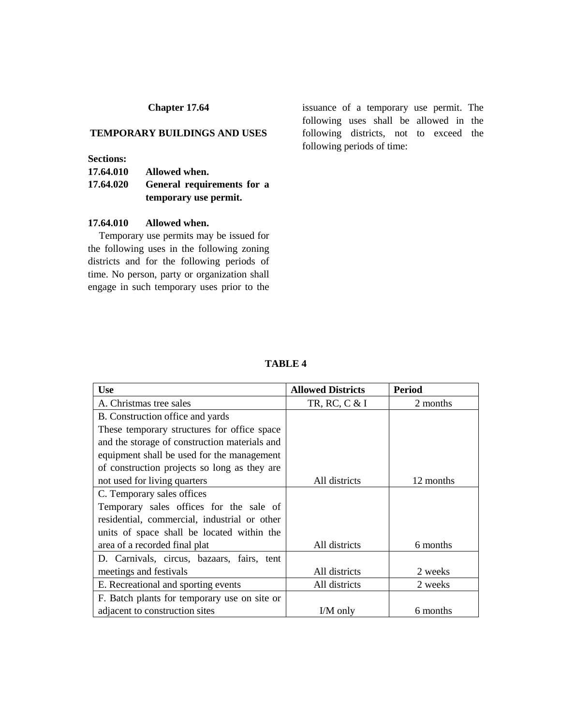# **Chapter 17.64**

#### **TEMPORARY BUILDINGS AND USES**

**Sections:**

**17.64.010 Allowed when.**

| 17.64.020 | General requirements for a |  |
|-----------|----------------------------|--|
|           | temporary use permit.      |  |

### **17.64.010 Allowed when.**

Temporary use permits may be issued for the following uses in the following zoning districts and for the following periods of time. No person, party or organization shall engage in such temporary uses prior to the issuance of a temporary use permit. The following uses shall be allowed in the following districts, not to exceed the following periods of time:

## **TABLE 4**

| <b>Use</b>                                    | <b>Allowed Districts</b> | <b>Period</b> |
|-----------------------------------------------|--------------------------|---------------|
| A. Christmas tree sales                       | TR, RC, C & I            | 2 months      |
| B. Construction office and yards              |                          |               |
| These temporary structures for office space   |                          |               |
| and the storage of construction materials and |                          |               |
| equipment shall be used for the management    |                          |               |
| of construction projects so long as they are  |                          |               |
| not used for living quarters                  | All districts            | 12 months     |
| C. Temporary sales offices                    |                          |               |
| Temporary sales offices for the sale of       |                          |               |
| residential, commercial, industrial or other  |                          |               |
| units of space shall be located within the    |                          |               |
| area of a recorded final plat                 | All districts            | 6 months      |
| D. Carnivals, circus, bazaars, fairs, tent    |                          |               |
| meetings and festivals                        | All districts            | 2 weeks       |
| E. Recreational and sporting events           | All districts            | 2 weeks       |
| F. Batch plants for temporary use on site or  |                          |               |
| adjacent to construction sites                | I/M only                 | 6 months      |